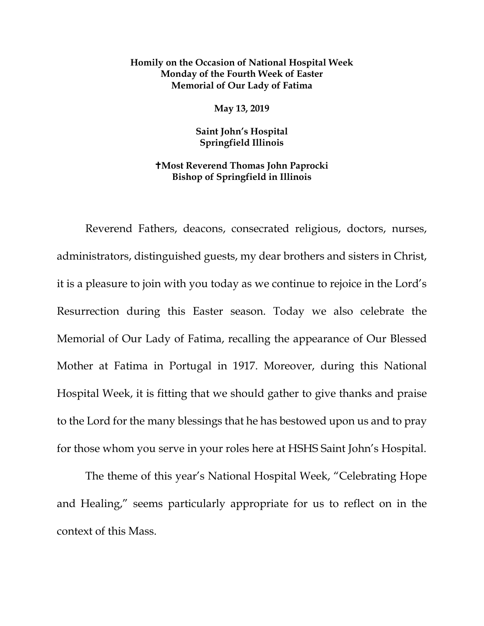## **Homily on the Occasion of National Hospital Week Monday of the Fourth Week of Easter Memorial of Our Lady of Fatima**

**May 13, 2019**

**Saint John's Hospital Springfield Illinois**

## **Most Reverend Thomas John Paprocki Bishop of Springfield in Illinois**

Reverend Fathers, deacons, consecrated religious, doctors, nurses, administrators, distinguished guests, my dear brothers and sisters in Christ, it is a pleasure to join with you today as we continue to rejoice in the Lord's Resurrection during this Easter season. Today we also celebrate the Memorial of Our Lady of Fatima, recalling the appearance of Our Blessed Mother at Fatima in Portugal in 1917. Moreover, during this National Hospital Week, it is fitting that we should gather to give thanks and praise to the Lord for the many blessings that he has bestowed upon us and to pray for those whom you serve in your roles here at HSHS Saint John's Hospital.

The theme of this year's National Hospital Week, "Celebrating Hope and Healing," seems particularly appropriate for us to reflect on in the context of this Mass.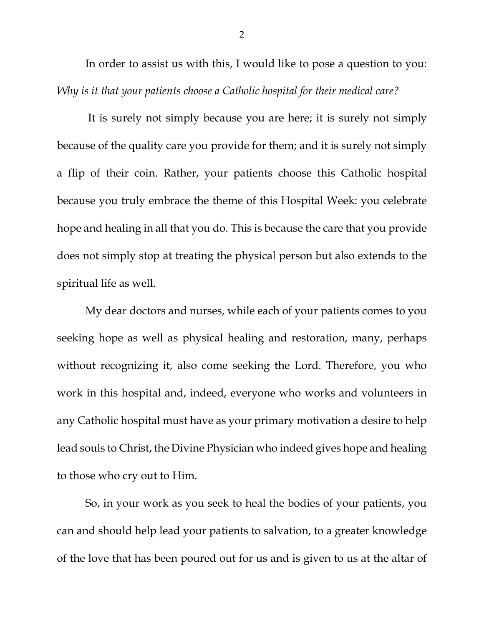In order to assist us with this, I would like to pose a question to you: *Why is it that your patients choose a Catholic hospital for their medical care?*

It is surely not simply because you are here; it is surely not simply because of the quality care you provide for them; and it is surely not simply a flip of their coin. Rather, your patients choose this Catholic hospital because you truly embrace the theme of this Hospital Week: you celebrate hope and healing in all that you do. This is because the care that you provide does not simply stop at treating the physical person but also extends to the spiritual life as well.

My dear doctors and nurses, while each of your patients comes to you seeking hope as well as physical healing and restoration, many, perhaps without recognizing it, also come seeking the Lord. Therefore, you who work in this hospital and, indeed, everyone who works and volunteers in any Catholic hospital must have as your primary motivation a desire to help lead souls to Christ, the Divine Physician who indeed gives hope and healing to those who cry out to Him.

So, in your work as you seek to heal the bodies of your patients, you can and should help lead your patients to salvation, to a greater knowledge of the love that has been poured out for us and is given to us at the altar of